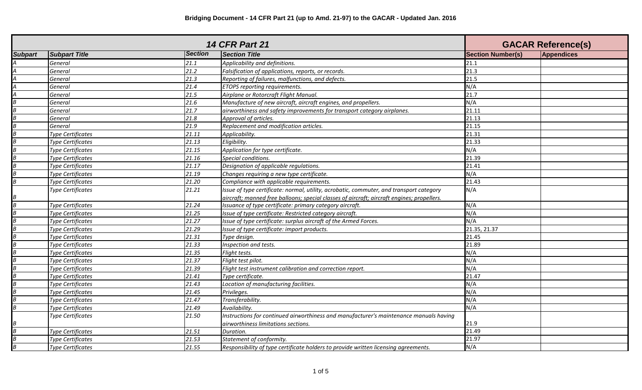| <b>14 CFR Part 21</b> |                          |                | <b>GACAR Reference(s)</b>                                                                  |                          |                   |
|-----------------------|--------------------------|----------------|--------------------------------------------------------------------------------------------|--------------------------|-------------------|
| <b>Subpart</b>        | <b>Subpart Title</b>     | <b>Section</b> | <b>Section Title</b>                                                                       | <b>Section Number(s)</b> | <b>Appendices</b> |
|                       | General                  | 21.1           | Applicability and definitions.                                                             | 21.1                     |                   |
|                       | General                  | 21.2           | Falsification of applications, reports, or records.                                        | 21.3                     |                   |
|                       | General                  | 21.3           | Reporting of failures, malfunctions, and defects.                                          | 21.5                     |                   |
| А                     | General                  | 21.4           | ETOPS reporting requirements.                                                              | N/A                      |                   |
| Α                     | General                  | 21.5           | Airplane or Rotorcraft Flight Manual.                                                      | 21.7                     |                   |
|                       | General                  | 21.6           | Manufacture of new aircraft, aircraft engines, and propellers.                             | N/A                      |                   |
|                       | General                  | 21.7           | airworthiness and safety improvements for transport category airplanes.                    | 21.11                    |                   |
| B                     | General                  | 21.8           | Approval of articles.                                                                      | 21.13                    |                   |
| $\overline{B}$        | General                  | 21.9           | Replacement and modification articles.                                                     | 21.15                    |                   |
| $\overline{B}$        | <b>Type Certificates</b> | 21.11          | Applicability.                                                                             | 21.31                    |                   |
| B                     | Type Certificates        | 21.13          | Eligibility.                                                                               | 21.33                    |                   |
| B                     | Type Certificates        | 21.15          | Application for type certificate.                                                          | N/A                      |                   |
|                       | <b>Type Certificates</b> | 21.16          | Special conditions.                                                                        | 21.39                    |                   |
|                       | <b>Type Certificates</b> | 21.17          | Designation of applicable regulations.                                                     | 21.41                    |                   |
|                       | <b>Type Certificates</b> | 21.19          | Changes requiring a new type certificate.                                                  | N/A                      |                   |
| B                     | <b>Type Certificates</b> | 21.20          | Compliance with applicable requirements.                                                   | 21.43                    |                   |
|                       | <b>Type Certificates</b> | 21.21          | Issue of type certificate: normal, utility, acrobatic, commuter, and transport category    | N/A                      |                   |
|                       |                          |                | aircraft; manned free balloons; special classes of aircraft; aircraft engines; propellers. |                          |                   |
| $\overline{B}$        | Type Certificates        | 21.24          | Issuance of type certificate: primary category aircraft.                                   | N/A                      |                   |
|                       | Type Certificates        | 21.25          | Issue of type certificate: Restricted category aircraft.                                   | N/A                      |                   |
|                       | <b>Type Certificates</b> | 21.27          | Issue of type certificate: surplus aircraft of the Armed Forces.                           | N/A                      |                   |
| B                     | <b>Type Certificates</b> | 21.29          | Issue of type certificate: import products.                                                | 21.35, 21.37             |                   |
|                       | <b>Type Certificates</b> | 21.31          | Type design.                                                                               | 21.45                    |                   |
| $\boldsymbol{B}$      | <b>Type Certificates</b> | 21.33          | Inspection and tests.                                                                      | 21.89                    |                   |
| $\boldsymbol{B}$      | <b>Type Certificates</b> | 21.35          | Flight tests.                                                                              | N/A                      |                   |
| B                     | <b>Type Certificates</b> | 21.37          | Flight test pilot.                                                                         | N/A                      |                   |
|                       | <b>Type Certificates</b> | 21.39          | Flight test instrument calibration and correction report.                                  | N/A                      |                   |
|                       | <b>Type Certificates</b> | 21.41          | Type certificate.                                                                          | 21.47                    |                   |
|                       | <b>Type Certificates</b> | 21.43          | Location of manufacturing facilities.                                                      | N/A                      |                   |
| $\overline{B}$        | <b>Type Certificates</b> | 21.45          | Privileges.                                                                                | N/A                      |                   |
| B                     | <b>Type Certificates</b> | 21.47          | Transferability.                                                                           | N/A                      |                   |
| B                     | <b>Type Certificates</b> | 21.49          | Availability.                                                                              | N/A                      |                   |
|                       | Type Certificates        | 21.50          | Instructions for continued airworthiness and manufacturer's maintenance manuals having     |                          |                   |
|                       |                          |                | airworthiness limitations sections.                                                        | 21.9                     |                   |
| $\overline{B}$        | <b>Type Certificates</b> | 21.51          | Duration.                                                                                  | 21.49                    |                   |
|                       | <b>Type Certificates</b> | 21.53          | Statement of conformity.                                                                   | 21.97                    |                   |
| $\overline{B}$        | <b>Type Certificates</b> | 21.55          | Responsibility of type certificate holders to provide written licensing agreements.        | N/A                      |                   |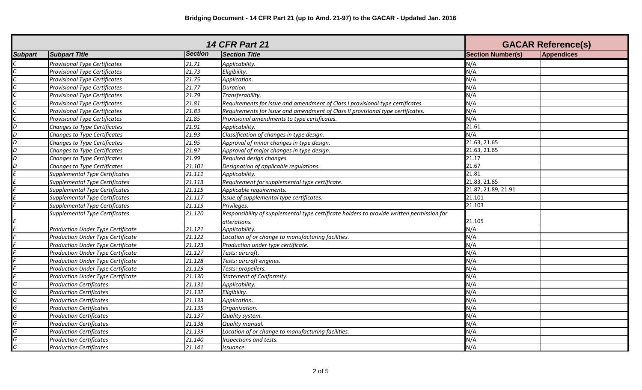| <b>14 CFR Part 21</b> |                                          |                | <b>GACAR Reference(s)</b>                                                                 |                          |            |
|-----------------------|------------------------------------------|----------------|-------------------------------------------------------------------------------------------|--------------------------|------------|
| <b>Subpart</b>        | <b>Subpart Title</b>                     | <b>Section</b> | <b>Section Title</b>                                                                      | <b>Section Number(s)</b> | Appendices |
|                       | <b>Provisional Type Certificates</b>     | 21.71          | Applicability.                                                                            | N/A                      |            |
|                       | <b>Provisional Type Certificates</b>     | 21.73          | Eligibility.                                                                              | N/A                      |            |
|                       | <b>Provisional Type Certificates</b>     | 21.75          | Application.                                                                              | N/A                      |            |
|                       | <b>Provisional Type Certificates</b>     | 21.77          | Duration.                                                                                 | N/A                      |            |
|                       | <b>Provisional Type Certificates</b>     | 21.79          | Transferability.                                                                          | N/A                      |            |
|                       | <b>Provisional Type Certificates</b>     | 21.81          | Requirements for issue and amendment of Class I provisional type certificates.            | N/A                      |            |
|                       | <b>Provisional Type Certificates</b>     | 21.83          | Requirements for issue and amendment of Class II provisional type certificates.           | N/A                      |            |
|                       | <b>Provisional Type Certificates</b>     | 21.85          | Provisional amendments to type certificates.                                              | N/A                      |            |
| D                     | Changes to Type Certificates             | 21.91          | Applicability.                                                                            | 21.61                    |            |
| D                     | Changes to Type Certificates             | 21.93          | Classification of changes in type design.                                                 | N/A                      |            |
| D                     | Changes to Type Certificates             | 21.95          | Approval of minor changes in type design.                                                 | 21.63, 21.65             |            |
| D                     | Changes to Type Certificates             | 21.97          | Approval of major changes in type design.                                                 | 21.63, 21.65             |            |
| D                     | Changes to Type Certificates             | 21.99          | Required design changes.                                                                  | 21.17                    |            |
|                       | Changes to Type Certificates             | 21.101         | Designation of applicable regulations.                                                    | 21.67                    |            |
|                       | <b>Supplemental Type Certificates</b>    | 21.111         | Applicability.                                                                            | 21.81                    |            |
|                       | Supplemental Type Certificates           | 21.113         | Requirement for supplemental type certificate.                                            | 21.83, 21.85             |            |
|                       | Supplemental Type Certificates           | 21.115         | Applicable requirements.                                                                  | 21.87, 21.89, 21.91      |            |
|                       | <b>Supplemental Type Certificates</b>    | 21.117         | Issue of supplemental type certificates.                                                  | 21.101                   |            |
|                       | <b>Supplemental Type Certificates</b>    | 21.119         | Privileges.                                                                               | 21.103                   |            |
|                       | <b>Supplemental Type Certificates</b>    | 21.120         | Responsibility of supplemental type certificate holders to provide written permission for |                          |            |
|                       |                                          |                | alterations.                                                                              | 21.105                   |            |
|                       | <b>Production Under Type Certificate</b> | 21.121         | Applicability.                                                                            | N/A                      |            |
|                       | <b>Production Under Type Certificate</b> | 21.122         | Location of or change to manufacturing facilities.                                        | N/A                      |            |
|                       | Production Under Type Certificate        | 21.123         | Production under type certificate.                                                        | N/A                      |            |
|                       | Production Under Type Certificate        | 21.127         | Tests: aircraft.                                                                          | N/A                      |            |
|                       | Production Under Type Certificate        | 21.128         | Tests: aircraft engines.                                                                  | N/A                      |            |
|                       | Production Under Type Certificate        | 21.129         | Tests: propellers.                                                                        | N/A                      |            |
|                       | <b>Production Under Type Certificate</b> | 21.130         | Statement of Conformity.                                                                  | N/A                      |            |
| G                     | <b>Production Certificates</b>           | 21.131         | Applicability.                                                                            | N/A                      |            |
| G                     | <b>Production Certificates</b>           | 21.132         | Eligibility.                                                                              | N/A                      |            |
| G                     | <b>Production Certificates</b>           | 21.133         | Application.                                                                              | N/A                      |            |
| G                     | <b>Production Certificates</b>           | 21.135         | Organization.                                                                             | N/A                      |            |
| G                     | <b>Production Certificates</b>           | 21.137         | Quality system.                                                                           | N/A                      |            |
| G                     | <b>Production Certificates</b>           | 21.138         | Quality manual.                                                                           | N/A                      |            |
| G                     | <b>Production Certificates</b>           | 21.139         | Location of or change to manufacturing facilities.                                        | N/A                      |            |
| G                     | <b>Production Certificates</b>           | 21.140         | Inspections and tests.                                                                    | N/A                      |            |
| G                     | <b>Production Certificates</b>           | 21.141         | Issuance.                                                                                 | N/A                      |            |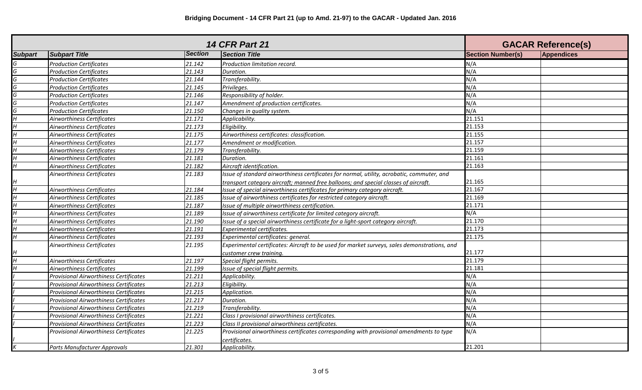| <b>14 CFR Part 21</b> |                                               |                |                                                                                              | <b>GACAR Reference(s)</b> |                   |
|-----------------------|-----------------------------------------------|----------------|----------------------------------------------------------------------------------------------|---------------------------|-------------------|
| <b>Subpart</b>        | <b>Subpart Title</b>                          | <b>Section</b> | <b>Section Title</b>                                                                         | <b>Section Number(s)</b>  | <b>Appendices</b> |
|                       | <b>Production Certificates</b>                | 21.142         | Production limitation record.                                                                | N/A                       |                   |
| G                     | <b>Production Certificates</b>                | 21.143         | Duration.                                                                                    | N/A                       |                   |
| G.                    | <b>Production Certificates</b>                | 21.144         | Transferability.                                                                             | N/A                       |                   |
| G                     | <b>Production Certificates</b>                | 21.145         | Privileges.                                                                                  | N/A                       |                   |
| G                     | <b>Production Certificates</b>                | 21.146         | Responsibility of holder.                                                                    | N/A                       |                   |
| G                     | <b>Production Certificates</b>                | 21.147         | Amendment of production certificates.                                                        | N/A                       |                   |
| G                     | <b>Production Certificates</b>                | 21.150         | Changes in quality system.                                                                   | N/A                       |                   |
|                       | Airworthiness Certificates                    | 21.171         | Applicability.                                                                               | 21.151                    |                   |
| Н                     | Airworthiness Certificates                    | 21.173         | Eligibility.                                                                                 | 21.153                    |                   |
| 4                     | Airworthiness Certificates                    | 21.175         | Airworthiness certificates: classification.                                                  | 21.155                    |                   |
| Н                     | Airworthiness Certificates                    | 21.177         | Amendment or modification.                                                                   | 21.157                    |                   |
| н                     | Airworthiness Certificates                    | 21.179         | Transferability.                                                                             | 21.159                    |                   |
|                       | Airworthiness Certificates                    | 21.181         | Duration.                                                                                    | 21.161                    |                   |
| H                     | Airworthiness Certificates                    | 21.182         | Aircraft identification.                                                                     | 21.163                    |                   |
|                       | Airworthiness Certificates                    | 21.183         | Issue of standard airworthiness certificates for normal, utility, acrobatic, commuter, and   |                           |                   |
|                       |                                               |                | transport category aircraft; manned free balloons; and special classes of aircraft.          | 21.165                    |                   |
| H                     | Airworthiness Certificates                    | 21.184         | Issue of special airworthiness certificates for primary category aircraft.                   | 21.167                    |                   |
|                       | Airworthiness Certificates                    | 21.185         | Issue of airworthiness certificates for restricted category aircraft.                        | 21.169                    |                   |
| н                     | Airworthiness Certificates                    | 21.187         | Issue of multiple airworthiness certification.                                               | 21.171                    |                   |
| Н                     | Airworthiness Certificates                    | 21.189         | Issue of airworthiness certificate for limited category aircraft.                            | N/A                       |                   |
|                       | Airworthiness Certificates                    | 21.190         | Issue of a special airworthiness certificate for a light-sport category aircraft.            | 21.170                    |                   |
|                       | Airworthiness Certificates                    | 21.191         | <b>Experimental certificates.</b>                                                            | 21.173                    |                   |
| H                     | Airworthiness Certificates                    | 21.193         | Experimental certificates: general.                                                          | 21.175                    |                   |
|                       | Airworthiness Certificates                    | 21.195         | Experimental certificates: Aircraft to be used for market surveys, sales demonstrations, and |                           |                   |
|                       |                                               |                | customer crew trainina.                                                                      | 21.177                    |                   |
|                       | Airworthiness Certificates                    | 21.197         | Special flight permits.                                                                      | 21.179                    |                   |
|                       | Airworthiness Certificates                    | 21.199         | Issue of special flight permits.                                                             | 21.181                    |                   |
|                       | <b>Provisional Airworthiness Certificates</b> | 21.211         | Applicability.                                                                               | N/A                       |                   |
|                       | <b>Provisional Airworthiness Certificates</b> | 21.213         | Eligibility.                                                                                 | N/A                       |                   |
|                       | <b>Provisional Airworthiness Certificates</b> | 21.215         | Application.                                                                                 | N/A                       |                   |
|                       | <b>Provisional Airworthiness Certificates</b> | 21.217         | Duration.                                                                                    | N/A                       |                   |
|                       | Provisional Airworthiness Certificates        | 21.219         | Transferability.                                                                             | N/A                       |                   |
|                       | <b>Provisional Airworthiness Certificates</b> | 21.221         | Class I provisional airworthiness certificates.                                              | N/A                       |                   |
|                       | <b>Provisional Airworthiness Certificates</b> | 21.223         | Class II provisional airworthiness certificates.                                             | N/A                       |                   |
|                       | <b>Provisional Airworthiness Certificates</b> | 21.225         | Provisional airworthiness certificates corresponding with provisional amendments to type     | N/A                       |                   |
|                       |                                               |                | certificates.                                                                                |                           |                   |
|                       | Parts Manufacturer Approvals                  | 21.301         | Applicability.                                                                               | 21.201                    |                   |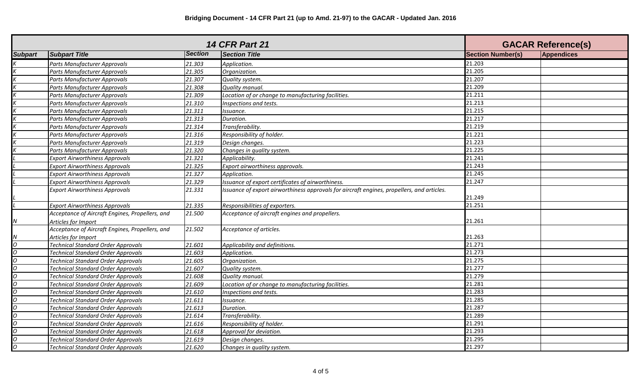| <b>14 CFR Part 21</b> |                                                 |                | <b>GACAR Reference(s)</b>                                                                  |                          |                   |
|-----------------------|-------------------------------------------------|----------------|--------------------------------------------------------------------------------------------|--------------------------|-------------------|
| <b>Subpart</b>        | <b>Subpart Title</b>                            | <b>Section</b> | <b>Section Title</b>                                                                       | <b>Section Number(s)</b> | <b>Appendices</b> |
|                       | Parts Manufacturer Approvals                    | 21.303         | Application.                                                                               | 21.203                   |                   |
|                       | Parts Manufacturer Approvals                    | 21.305         | Organization.                                                                              | 21.205                   |                   |
|                       | <b>Parts Manufacturer Approvals</b>             | 21.307         | Quality system.                                                                            | 21.207                   |                   |
|                       | Parts Manufacturer Approvals                    | 21.308         | Quality manual.                                                                            | 21.209                   |                   |
|                       | Parts Manufacturer Approvals                    | 21.309         | Location of or change to manufacturing facilities.                                         | 21.211                   |                   |
|                       | Parts Manufacturer Approvals                    | 21.310         | Inspections and tests.                                                                     | 21.213                   |                   |
|                       | Parts Manufacturer Approvals                    | 21.311         | Issuance.                                                                                  | 21.215                   |                   |
|                       | Parts Manufacturer Approvals                    | 21.313         | Duration.                                                                                  | 21.217                   |                   |
|                       | Parts Manufacturer Approvals                    | 21.314         | Transferability.                                                                           | 21.219                   |                   |
|                       | Parts Manufacturer Approvals                    | 21.316         | Responsibility of holder.                                                                  | 21.221                   |                   |
|                       | Parts Manufacturer Approvals                    | 21.319         | Design changes.                                                                            | 21.223                   |                   |
|                       | Parts Manufacturer Approvals                    | 21.320         | Changes in quality system.                                                                 | 21.225                   |                   |
|                       | <b>Export Airworthiness Approvals</b>           | 21.321         | Applicability.                                                                             | 21.241                   |                   |
|                       | <b>Export Airworthiness Approvals</b>           | 21.325         | Export airworthiness approvals.                                                            | 21.243                   |                   |
|                       | <b>Export Airworthiness Approvals</b>           | 21.327         | Application.                                                                               | 21.245                   |                   |
|                       | <b>Export Airworthiness Approvals</b>           | 21.329         | Issuance of export certificates of airworthiness.                                          | 21.247                   |                   |
|                       | <b>Export Airworthiness Approvals</b>           | 21.331         | Issuance of export airworthiness approvals for aircraft engines, propellers, and articles. |                          |                   |
|                       |                                                 |                |                                                                                            | 21.249                   |                   |
|                       | <b>Export Airworthiness Approvals</b>           | 21.335         | Responsibilities of exporters.                                                             | 21.251                   |                   |
|                       | Acceptance of Aircraft Engines, Propellers, and | 21.500         | Acceptance of aircraft engines and propellers.                                             |                          |                   |
|                       | Articles for Import                             |                |                                                                                            | 21.261                   |                   |
|                       | Acceptance of Aircraft Engines, Propellers, and | 21.502         | Acceptance of articles.                                                                    |                          |                   |
| V                     | Articles for Import                             |                |                                                                                            | 21.263                   |                   |
| 0                     | <b>Technical Standard Order Approvals</b>       | 21.601         | Applicability and definitions.                                                             | 21.271                   |                   |
| 0                     | <b>Technical Standard Order Approvals</b>       | 21.603         | Application.                                                                               | 21.273                   |                   |
| 0                     | <b>Technical Standard Order Approvals</b>       | 21.605         | Organization.                                                                              | 21.275                   |                   |
| 0                     | <b>Technical Standard Order Approvals</b>       | 21.607         | Quality system.                                                                            | 21.277                   |                   |
| O                     | <b>Technical Standard Order Approvals</b>       | 21.608         | Quality manual.                                                                            | 21.279                   |                   |
| O                     | <b>Technical Standard Order Approvals</b>       | 21.609         | Location of or change to manufacturing facilities.                                         | 21.281                   |                   |
| 0                     | <b>Technical Standard Order Approvals</b>       | 21.610         | Inspections and tests.                                                                     | 21.283                   |                   |
| 0                     | <b>Technical Standard Order Approvals</b>       | 21.611         | Issuance.                                                                                  | 21.285                   |                   |
| 0                     | <b>Technical Standard Order Approvals</b>       | 21.613         | Duration.                                                                                  | 21.287                   |                   |
| 0                     | <b>Technical Standard Order Approvals</b>       | 21.614         | Transferability.                                                                           | 21.289                   |                   |
| O                     | <b>Technical Standard Order Approvals</b>       | 21.616         | Responsibility of holder.                                                                  | 21.291                   |                   |
| 0                     | <b>Technical Standard Order Approvals</b>       | 21.618         | Approval for deviation.                                                                    | 21.293                   |                   |
| 0                     | <b>Technical Standard Order Approvals</b>       | 21.619         | Design changes.                                                                            | 21.295                   |                   |
| 0                     | <b>Technical Standard Order Approvals</b>       | 21.620         | Changes in quality system.                                                                 | 21.297                   |                   |